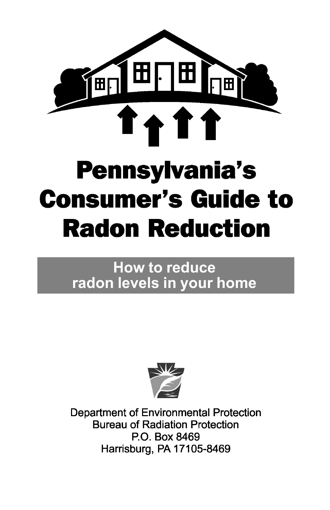

# **How to reduce** radon levels in your home



**Department of Environmental Protection Bureau of Radiation Protection** P.O. Box 8469 Harrisburg, PA 17105-8469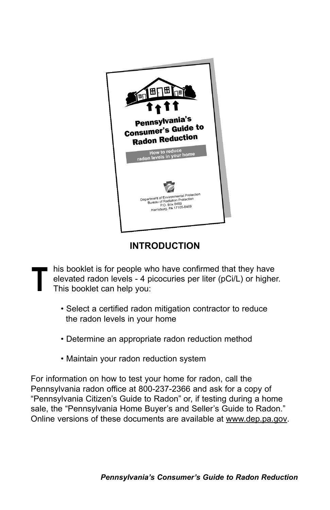

### **INTRODUCTION**

- his booklet is for people who have confirmed that they have elevated radon levels - 4 picocuries per liter (pCi/L) or higher. This booklet can help you: **T**
	- Select a certified radon mitigation contractor to reduce the radon levels in your home
	- Determine an appropriate radon reduction method
	- Maintain your radon reduction system

For information on how to test your home for radon, call the Pennsylvania radon office at 800-237-2366 and ask for a copy of "Pennsylvania Citizen's Guide to Radon" or, if testing during a home sale, the "Pennsylvania Home Buyer's and Seller's Guide to Radon." Online versions of these documents are available at www.dep.pa.gov.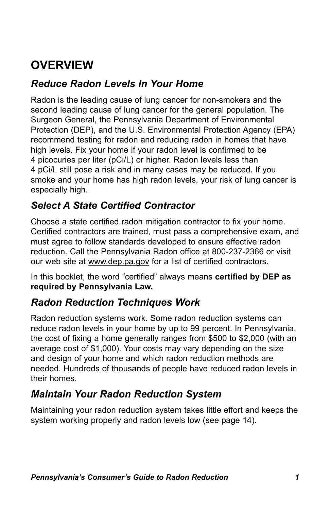# **OVERVIEW**

### *Reduce Radon Levels In Your Home*

Radon is the leading cause of lung cancer for non-smokers and the second leading cause of lung cancer for the general population. The Surgeon General, the Pennsylvania Department of Environmental Protection (DEP), and the U.S. Environmental Protection Agency (EPA) recommend testing for radon and reducing radon in homes that have high levels. Fix your home if your radon level is confirmed to be 4 picocuries per liter (pCi/L) or higher. Radon levels less than 4 pCi/L still pose a risk and in many cases may be reduced. If you smoke and your home has high radon levels, your risk of lung cancer is especially high.

### *Select A State Certified Contractor*

Choose a state certified radon mitigation contractor to fix your home. Certified contractors are trained, must pass a comprehensive exam, and must agree to follow standards developed to ensure effective radon reduction. Call the Pennsylvania Radon office at 800-237-2366 or visit our web site at www.dep.pa.gov for a list of certified contractors.

In this booklet, the word "certified" always means **certified by DEP as required by Pennsylvania Law.**

### *Radon Reduction Techniques Work*

Radon reduction systems work. Some radon reduction systems can reduce radon levels in your home by up to 99 percent. In Pennsylvania, the cost of fixing a home generally ranges from \$500 to \$2,000 (with an average cost of \$1,000). Your costs may vary depending on the size and design of your home and which radon reduction methods are needed. Hundreds of thousands of people have reduced radon levels in their homes.

### *Maintain Your Radon Reduction System*

Maintaining your radon reduction system takes little effort and keeps the system working properly and radon levels low (see page 14).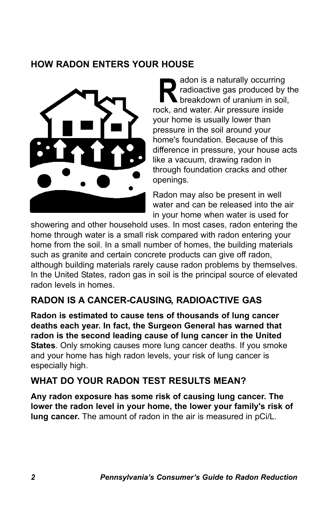#### **HOW RADON ENTERS YOUR HOUSE**



adon is a naturally occurring radioactive gas produced by the **breakdown of uranium in soil.** adon is a naturally occurring<br>
radioactive gas produced by<br>
rock, and water. Air pressure inside your home is usually lower than pressure in the soil around your home's foundation. Because of this difference in pressure, your house acts like a vacuum, drawing radon in through foundation cracks and other openings.

Radon may also be present in well water and can be released into the air in your home when water is used for

showering and other household uses. In most cases, radon entering the home through water is a small risk compared with radon entering your home from the soil. In a small number of homes, the building materials such as granite and certain concrete products can give off radon, although building materials rarely cause radon problems by themselves. In the United States, radon gas in soil is the principal source of elevated radon levels in homes.

### **RADON IS A CANCER-CAUSING, RADIOACTIVE GAS**

**Radon is estimated to cause tens of thousands of lung cancer deaths each year. In fact, the Surgeon General has warned that radon is the second leading cause of lung cancer in the United States**. Only smoking causes more lung cancer deaths. If you smoke and your home has high radon levels, your risk of lung cancer is especially high.

#### **WHAT DO YOUR RADON TEST RESULTS MEAN?**

**Any radon exposure has some risk of causing lung cancer. The lower the radon level in your home, the lower your family's risk of lung cancer.** The amount of radon in the air is measured in pCi/L.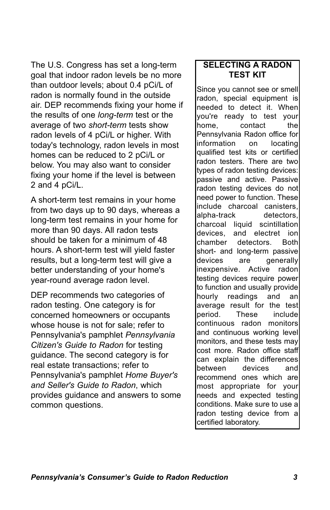The U.S. Congress has set a long-term goal that indoor radon levels be no more than outdoor levels; about 0.4 pCi/L of radon is normally found in the outside air. DEP recommends fixing your home if the results of one *long-term* test or the average of two *short-term* tests show radon levels of 4 pCi/L or higher. With today's technology, radon levels in most homes can be reduced to 2 pCi/L or below. You may also want to consider fixing your home if the level is between 2 and 4 pCi/L.

A short-term test remains in your home from two days up to 90 days, whereas a long-term test remains in your home for more than 90 days. All radon tests should be taken for a minimum of 48 hours. A short-term test will yield faster results, but a long-term test will give a better understanding of your home's year-round average radon level.

DEP recommends two categories of radon testing. One category is for concerned homeowners or occupants whose house is not for sale; refer to Pennsylvania's pamphlet *Pennsylvania Citizen's Guide to Radon* for testing guidance. The second category is for real estate transactions; refer to Pennsylvania's pamphlet *Home Buyer's and Seller's Guide to Radon*, which provides guidance and answers to some common questions.

#### **SELECTING A RADON TEST KIT**

Since you cannot see or smell radon, special equipment is needed to detect it. When you're ready to test your home, contact the Pennsylvania Radon office for information on locating qualified test kits or certified radon testers. There are two types of radon testing devices: passive and active. Passive radon testing devices do not need power to function. These include charcoal canisters, alpha-track detectors, charcoal liquid scintillation devices, and electret ion chamber detectors. Both short- and long-term passive devices are generally inexpensive. Active radon testing devices require power to function and usually provide hourly readings and an average result for the test period. These include continuous radon monitors and continuous working level monitors, and these tests may cost more. Radon office staff can explain the differences between devices and recommend ones which are most appropriate for your needs and expected testing conditions. Make sure to use a radon testing device from a certified laboratory.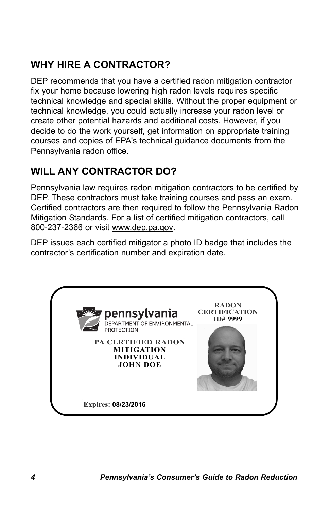# **WHY HIRE A CONTRACTOR?**

DEP recommends that you have a certified radon mitigation contractor fix your home because lowering high radon levels requires specific technical knowledge and special skills. Without the proper equipment or technical knowledge, you could actually increase your radon level or create other potential hazards and additional costs. However, if you decide to do the work yourself, get information on appropriate training courses and copies of EPA's technical guidance documents from the Pennsylvania radon office.

# **WILL ANY CONTRACTOR DO?**

Pennsylvania law requires radon mitigation contractors to be certified by DEP. These contractors must take training courses and pass an exam. Certified contractors are then required to follow the Pennsylvania Radon Mitigation Standards. For a list of certified mitigation contractors, call 800-237-2366 or visit www.dep.pa.gov.

DEP issues each certified mitigator a photo ID badge that includes the contractor's certification number and expiration date.

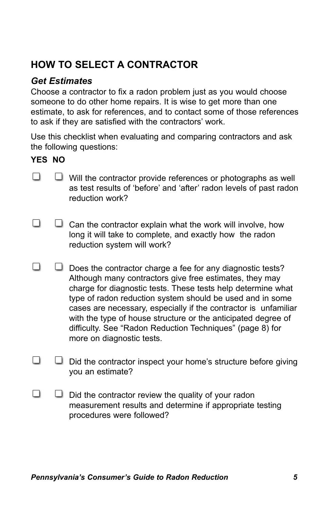# **HOW TO SELECT A CONTRACTOR**

#### *Get Estimates*

Choose a contractor to fix a radon problem just as you would choose someone to do other home repairs. It is wise to get more than one estimate, to ask for references, and to contact some of those references to ask if they are satisfied with the contractors' work.

Use this checklist when evaluating and comparing contractors and ask the following questions:

#### **YES NO**

- П  $\Box$  Will the contractor provide references or photographs as well as test results of 'before' and 'after' radon levels of past radon reduction work?
- □  $\Box$  Can the contractor explain what the work will involve, how long it will take to complete, and exactly how the radon reduction system will work?
- $\Box$  $\Box$  Does the contractor charge a fee for any diagnostic tests? Although many contractors give free estimates, they may charge for diagnostic tests. These tests help determine what type of radon reduction system should be used and in some cases are necessary, especially if the contractor is unfamiliar with the type of house structure or the anticipated degree of difficulty. See "Radon Reduction Techniques" (page 8) for more on diagnostic tests.
- П  $\Box$  Did the contractor inspect your home's structure before giving you an estimate?
- П  $\Box$  Did the contractor review the quality of your radon measurement results and determine if appropriate testing procedures were followed?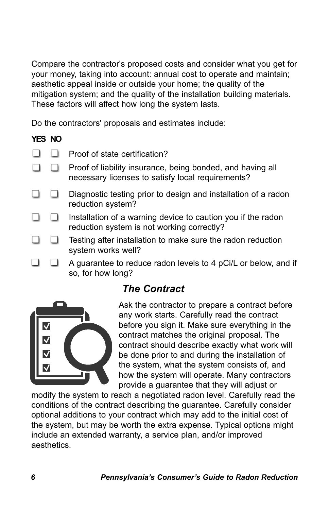Compare the contractor's proposed costs and consider what you get for your money, taking into account: annual cost to operate and maintain; aesthetic appeal inside or outside your home; the quality of the mitigation system; and the quality of the installation building materials. These factors will affect how long the system lasts.

Do the contractors' proposals and estimates include:

#### **YES NO**

П

- П.  $\Box$ Proof of state certification?
- 8 B B Proof of liability insurance, being bonded, and having all necessary licenses to satisfy local requirements?
- П.  $\Box$ Diagnostic testing prior to design and installation of a radon reduction system?
- Installation of a warning device to caution you if the radon П  $\Box$ reduction system is not working correctly?
- n Testing after installation to make sure the radon reduction system works well?
	- A guarantee to reduce radon levels to 4 pCi/L or below, and if so, for how long?

### *The Contract*



Ask the contractor to prepare a contract before any work starts. Carefully read the contract before you sign it. Make sure everything in the contract matches the original proposal. The contract should describe exactly what work will be done prior to and during the installation of the system, what the system consists of, and how the system will operate. Many contractors provide a guarantee that they will adjust or

modify the system to reach a negotiated radon level. Carefully read the conditions of the contract describing the guarantee. Carefully consider optional additions to your contract which may add to the initial cost of the system, but may be worth the extra expense. Typical options might include an extended warranty, a service plan, and/or improved aesthetics.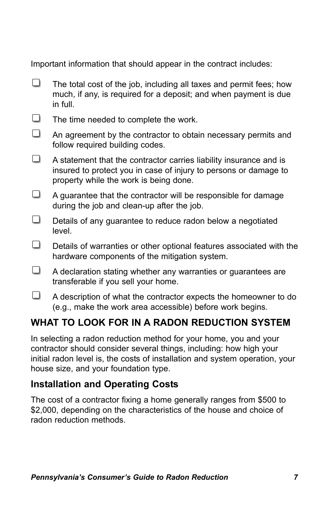Important information that should appear in the contract includes:

П The total cost of the job, including all taxes and permit fees; how much, if any, is required for a deposit; and when payment is due in full.  $\Box$ The time needed to complete the work.  $\Box$ An agreement by the contractor to obtain necessary permits and follow required building codes. □. A statement that the contractor carries liability insurance and is insured to protect you in case of injury to persons or damage to property while the work is being done.  $\Box$ A guarantee that the contractor will be responsible for damage during the job and clean-up after the job.  $\Box$ Details of any guarantee to reduce radon below a negotiated level. П Details of warranties or other optional features associated with the hardware components of the mitigation system.  $\Box$ A declaration stating whether any warranties or guarantees are transferable if you sell your home.  $\Box$ A description of what the contractor expects the homeowner to do (e.g., make the work area accessible) before work begins.

# **WHAT TO LOOK FOR IN A RADON REDUCTION SYSTEM**

In selecting a radon reduction method for your home, you and your contractor should consider several things, including: how high your initial radon level is, the costs of installation and system operation, your house size, and your foundation type.

### **Installation and Operating Costs**

The cost of a contractor fixing a home generally ranges from \$500 to \$2,000, depending on the characteristics of the house and choice of radon reduction methods.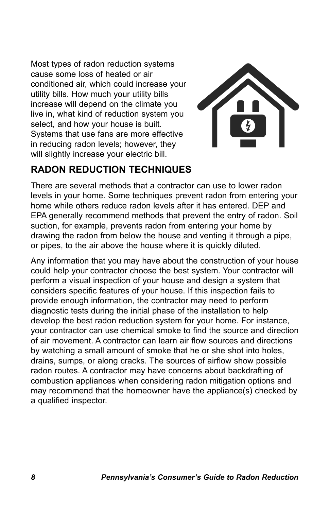Most types of radon reduction systems cause some loss of heated or air conditioned air, which could increase your utility bills. How much your utility bills increase will depend on the climate you live in, what kind of reduction system you select, and how your house is built. Systems that use fans are more effective in reducing radon levels; however, they will slightly increase your electric bill.



# **RADON REDUCTION TECHNIQUES**

There are several methods that a contractor can use to lower radon levels in your home. Some techniques prevent radon from entering your home while others reduce radon levels after it has entered. DEP and EPA generally recommend methods that prevent the entry of radon. Soil suction, for example, prevents radon from entering your home by drawing the radon from below the house and venting it through a pipe, or pipes, to the air above the house where it is quickly diluted.

Any information that you may have about the construction of your house could help your contractor choose the best system. Your contractor will perform a visual inspection of your house and design a system that considers specific features of your house. If this inspection fails to provide enough information, the contractor may need to perform diagnostic tests during the initial phase of the installation to help develop the best radon reduction system for your home. For instance, your contractor can use chemical smoke to find the source and direction of air movement. A contractor can learn air flow sources and directions by watching a small amount of smoke that he or she shot into holes, drains, sumps, or along cracks. The sources of airflow show possible radon routes. A contractor may have concerns about backdrafting of combustion appliances when considering radon mitigation options and may recommend that the homeowner have the appliance(s) checked by a qualified inspector.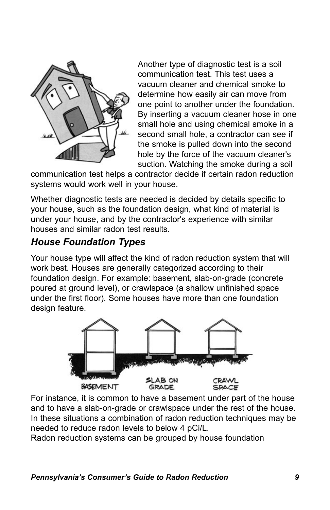

Another type of diagnostic test is a soil communication test. This test uses a vacuum cleaner and chemical smoke to determine how easily air can move from one point to another under the foundation. By inserting a vacuum cleaner hose in one small hole and using chemical smoke in a second small hole, a contractor can see if the smoke is pulled down into the second hole by the force of the vacuum cleaner's suction. Watching the smoke during a soil

communication test helps a contractor decide if certain radon reduction systems would work well in your house.

Whether diagnostic tests are needed is decided by details specific to your house, such as the foundation design, what kind of material is under your house, and by the contractor's experience with similar houses and similar radon test results.

#### *House Foundation Types*

Your house type will affect the kind of radon reduction system that will work best. Houses are generally categorized according to their foundation design. For example: basement, slab-on-grade (concrete poured at ground level), or crawlspace (a shallow unfinished space under the first floor). Some houses have more than one foundation design feature.



For instance, it is common to have a basement under part of the house and to have a slab-on-grade or crawlspace under the rest of the house. In these situations a combination of radon reduction techniques may be needed to reduce radon levels to below 4 pCi/L.

Radon reduction systems can be grouped by house foundation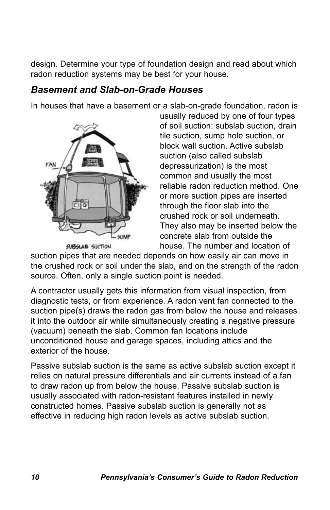design. Determine your type of foundation design and read about which radon reduction systems may be best for your house.

#### *Basement and Slab-on-Grade Houses*

In houses that have a basement or a slab-on-grade foundation, radon is



usually reduced by one of four types of soil suction: subslab suction, drain tile suction, sump hole suction, or block wall suction. Active subslab suction (also called subslab depressurization) is the most common and usually the most reliable radon reduction method. One or more suction pipes are inserted through the floor slab into the crushed rock or soil underneath. They also may be inserted below the concrete slab from outside the house. The number and location of

suction pipes that are needed depends on how easily air can move in the crushed rock or soil under the slab, and on the strength of the radon source. Often, only a single suction point is needed.

A contractor usually gets this information from visual inspection, from diagnostic tests, or from experience. A radon vent fan connected to the suction pipe(s) draws the radon gas from below the house and releases it into the outdoor air while simultaneously creating a negative pressure (vacuum) beneath the slab. Common fan locations include unconditioned house and garage spaces, including attics and the exterior of the house.

Passive subslab suction is the same as active subslab suction except it relies on natural pressure differentials and air currents instead of a fan to draw radon up from below the house. Passive subslab suction is usually associated with radon-resistant features installed in newly constructed homes. Passive subslab suction is generally not as effective in reducing high radon levels as active subslab suction.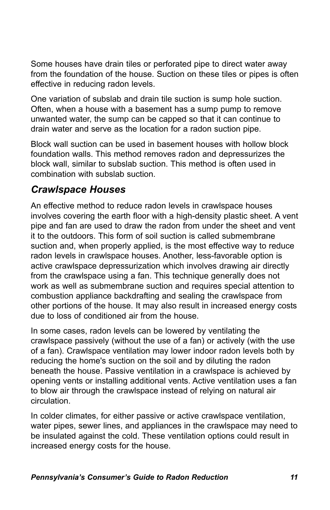Some houses have drain tiles or perforated pipe to direct water away from the foundation of the house. Suction on these tiles or pipes is often effective in reducing radon levels.

One variation of subslab and drain tile suction is sump hole suction. Often, when a house with a basement has a sump pump to remove unwanted water, the sump can be capped so that it can continue to drain water and serve as the location for a radon suction pipe.

Block wall suction can be used in basement houses with hollow block foundation walls. This method removes radon and depressurizes the block wall, similar to subslab suction. This method is often used in combination with subslab suction.

### *Crawlspace Houses*

An effective method to reduce radon levels in crawlspace houses involves covering the earth floor with a high-density plastic sheet. A vent pipe and fan are used to draw the radon from under the sheet and vent it to the outdoors. This form of soil suction is called submembrane suction and, when properly applied, is the most effective way to reduce radon levels in crawlspace houses. Another, less-favorable option is active crawlspace depressurization which involves drawing air directly from the crawlspace using a fan. This technique generally does not work as well as submembrane suction and requires special attention to combustion appliance backdrafting and sealing the crawlspace from other portions of the house. It may also result in increased energy costs due to loss of conditioned air from the house.

In some cases, radon levels can be lowered by ventilating the crawlspace passively (without the use of a fan) or actively (with the use of a fan). Crawlspace ventilation may lower indoor radon levels both by reducing the home's suction on the soil and by diluting the radon beneath the house. Passive ventilation in a crawlspace is achieved by opening vents or installing additional vents. Active ventilation uses a fan to blow air through the crawlspace instead of relying on natural air circulation.

In colder climates, for either passive or active crawlspace ventilation, water pipes, sewer lines, and appliances in the crawlspace may need to be insulated against the cold. These ventilation options could result in increased energy costs for the house.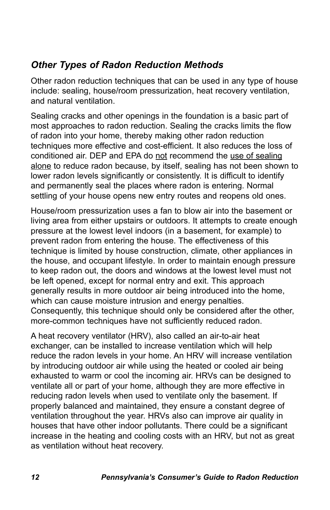### *Other Types of Radon Reduction Methods*

Other radon reduction techniques that can be used in any type of house include: sealing, house/room pressurization, heat recovery ventilation, and natural ventilation.

Sealing cracks and other openings in the foundation is a basic part of most approaches to radon reduction. Sealing the cracks limits the flow of radon into your home, thereby making other radon reduction techniques more effective and cost-efficient. It also reduces the loss of conditioned air. DEP and EPA do not recommend the use of sealing alone to reduce radon because, by itself, sealing has not been shown to lower radon levels significantly or consistently. It is difficult to identify and permanently seal the places where radon is entering. Normal settling of your house opens new entry routes and reopens old ones.

House/room pressurization uses a fan to blow air into the basement or living area from either upstairs or outdoors. It attempts to create enough pressure at the lowest level indoors (in a basement, for example) to prevent radon from entering the house. The effectiveness of this technique is limited by house construction, climate, other appliances in the house, and occupant lifestyle. In order to maintain enough pressure to keep radon out, the doors and windows at the lowest level must not be left opened, except for normal entry and exit. This approach generally results in more outdoor air being introduced into the home, which can cause moisture intrusion and energy penalties. Consequently, this technique should only be considered after the other, more-common techniques have not sufficiently reduced radon.

A heat recovery ventilator (HRV), also called an air-to-air heat exchanger, can be installed to increase ventilation which will help reduce the radon levels in your home. An HRV will increase ventilation by introducing outdoor air while using the heated or cooled air being exhausted to warm or cool the incoming air. HRVs can be designed to ventilate all or part of your home, although they are more effective in reducing radon levels when used to ventilate only the basement. If properly balanced and maintained, they ensure a constant degree of ventilation throughout the year. HRVs also can improve air quality in houses that have other indoor pollutants. There could be a significant increase in the heating and cooling costs with an HRV, but not as great as ventilation without heat recovery.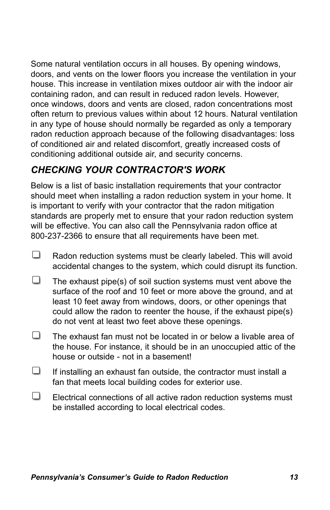Some natural ventilation occurs in all houses. By opening windows, doors, and vents on the lower floors you increase the ventilation in your house. This increase in ventilation mixes outdoor air with the indoor air containing radon, and can result in reduced radon levels. However, once windows, doors and vents are closed, radon concentrations most often return to previous values within about 12 hours. Natural ventilation in any type of house should normally be regarded as only a temporary radon reduction approach because of the following disadvantages: loss of conditioned air and related discomfort, greatly increased costs of conditioning additional outside air, and security concerns.

### *CHECKING YOUR CONTRACTOR'S WORK*

Below is a list of basic installation requirements that your contractor should meet when installing a radon reduction system in your home. It is important to verify with your contractor that the radon mitigation standards are properly met to ensure that your radon reduction system will be effective. You can also call the Pennsylvania radon office at 800-237-2366 to ensure that all requirements have been met.

- □ Radon reduction systems must be clearly labeled. This will avoid accidental changes to the system, which could disrupt its function.
- The exhaust pipe(s) of soil suction systems must vent above the surface of the roof and 10 feet or more above the ground, and at least 10 feet away from windows, doors, or other openings that could allow the radon to reenter the house, if the exhaust pipe(s) do not vent at least two feet above these openings.
- ப The exhaust fan must not be located in or below a livable area of the house. For instance, it should be in an unoccupied attic of the house or outside - not in a basement!
- $\Box$ If installing an exhaust fan outside, the contractor must install a fan that meets local building codes for exterior use.
- $\Box$ Electrical connections of all active radon reduction systems must be installed according to local electrical codes.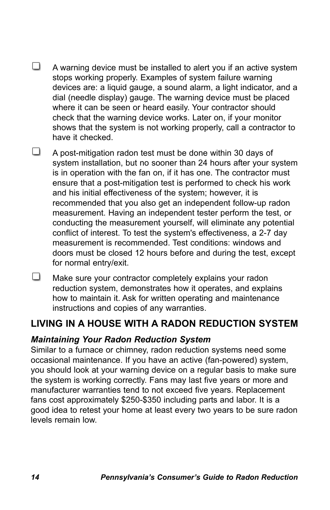- $\Box$ A warning device must be installed to alert you if an active system stops working properly. Examples of system failure warning devices are: a liquid gauge, a sound alarm, a light indicator, and a dial (needle display) gauge. The warning device must be placed where it can be seen or heard easily. Your contractor should check that the warning device works. Later on, if your monitor shows that the system is not working properly, call a contractor to have it checked.
- □ A post-mitigation radon test must be done within 30 days of system installation, but no sooner than 24 hours after your system is in operation with the fan on, if it has one. The contractor must ensure that a post-mitigation test is performed to check his work and his initial effectiveness of the system; however, it is recommended that you also get an independent follow-up radon measurement. Having an independent tester perform the test, or conducting the measurement yourself, will eliminate any potential conflict of interest. To test the system's effectiveness, a 2-7 day measurement is recommended. Test conditions: windows and doors must be closed 12 hours before and during the test, except for normal entry/exit.
- $\Box$ Make sure your contractor completely explains your radon reduction system, demonstrates how it operates, and explains how to maintain it. Ask for written operating and maintenance instructions and copies of any warranties.

### **LIVING IN A HOUSE WITH A RADON REDUCTION SYSTEM**

#### *Maintaining Your Radon Reduction System*

Similar to a furnace or chimney, radon reduction systems need some occasional maintenance. If you have an active (fan-powered) system, you should look at your warning device on a regular basis to make sure the system is working correctly. Fans may last five years or more and manufacturer warranties tend to not exceed five years. Replacement fans cost approximately \$250-\$350 including parts and labor. It is a good idea to retest your home at least every two years to be sure radon levels remain low.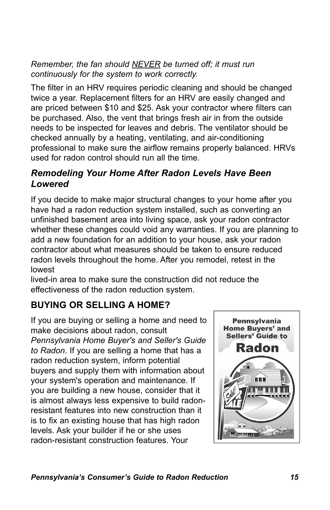*Remember, the fan should NEVER be turned off; it must run continuously for the system to work correctly.*

The filter in an HRV requires periodic cleaning and should be changed twice a year. Replacement filters for an HRV are easily changed and are priced between \$10 and \$25. Ask your contractor where filters can be purchased. Also, the vent that brings fresh air in from the outside needs to be inspected for leaves and debris. The ventilator should be checked annually by a heating, ventilating, and air-conditioning professional to make sure the airflow remains properly balanced. HRVs used for radon control should run all the time.

#### *Remodeling Your Home After Radon Levels Have Been Lowered*

If you decide to make major structural changes to your home after you have had a radon reduction system installed, such as converting an unfinished basement area into living space, ask your radon contractor whether these changes could void any warranties. If you are planning to add a new foundation for an addition to your house, ask your radon contractor about what measures should be taken to ensure reduced radon levels throughout the home. After you remodel, retest in the lowest

lived-in area to make sure the construction did not reduce the effectiveness of the radon reduction system.

### **BUYING OR SELLING A HOME?**

If you are buying or selling a home and need to make decisions about radon, consult *Pennsylvania Home Buyer's and Seller's Guide to Radon*. If you are selling a home that has a radon reduction system, inform potential buyers and supply them with information about your system's operation and maintenance. If you are building a new house, consider that it is almost always less expensive to build radonresistant features into new construction than it is to fix an existing house that has high radon levels. Ask your builder if he or she uses radon-resistant construction features. Your

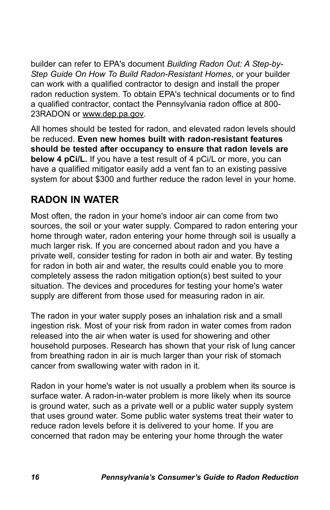builder can refer to EPA's document *Building Radon Out: A Step-by-Step Guide On How To Build Radon-Resistant Homes*, or your builder can work with a qualified contractor to design and install the proper radon reduction system. To obtain EPA's technical documents or to find a qualified contractor, contact the Pennsylvania radon office at 800- 23RADON or www.dep.pa.gov.

All homes should be tested for radon, and elevated radon levels should be reduced. **Even new homes built with radon-resistant features should be tested after occupancy to ensure that radon levels are below 4 pCi/L.** If you have a test result of 4 pCi/L or more, you can have a qualified mitigator easily add a vent fan to an existing passive system for about \$300 and further reduce the radon level in your home.

### **RADON IN WATER**

Most often, the radon in your home's indoor air can come from two sources, the soil or your water supply. Compared to radon entering your home through water, radon entering your home through soil is usually a much larger risk. If you are concerned about radon and you have a private well, consider testing for radon in both air and water. By testing for radon in both air and water, the results could enable you to more completely assess the radon mitigation option(s) best suited to your situation. The devices and procedures for testing your home's water supply are different from those used for measuring radon in air.

The radon in your water supply poses an inhalation risk and a small ingestion risk. Most of your risk from radon in water comes from radon released into the air when water is used for showering and other household purposes. Research has shown that your risk of lung cancer from breathing radon in air is much larger than your risk of stomach cancer from swallowing water with radon in it.

Radon in your home's water is not usually a problem when its source is surface water. A radon-in-water problem is more likely when its source is ground water, such as a private well or a public water supply system that uses ground water. Some public water systems treat their water to reduce radon levels before it is delivered to your home. If you are concerned that radon may be entering your home through the water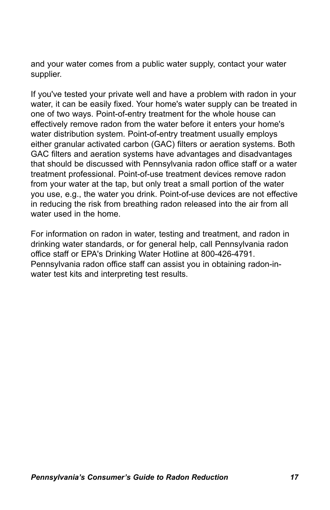and your water comes from a public water supply, contact your water supplier.

If you've tested your private well and have a problem with radon in your water, it can be easily fixed. Your home's water supply can be treated in one of two ways. Point-of-entry treatment for the whole house can effectively remove radon from the water before it enters your home's water distribution system. Point-of-entry treatment usually employs either granular activated carbon (GAC) filters or aeration systems. Both GAC filters and aeration systems have advantages and disadvantages that should be discussed with Pennsylvania radon office staff or a water treatment professional. Point-of-use treatment devices remove radon from your water at the tap, but only treat a small portion of the water you use, e.g., the water you drink. Point-of-use devices are not effective in reducing the risk from breathing radon released into the air from all water used in the home.

For information on radon in water, testing and treatment, and radon in drinking water standards, or for general help, call Pennsylvania radon office staff or EPA's Drinking Water Hotline at 800-426-4791. Pennsylvania radon office staff can assist you in obtaining radon-inwater test kits and interpreting test results.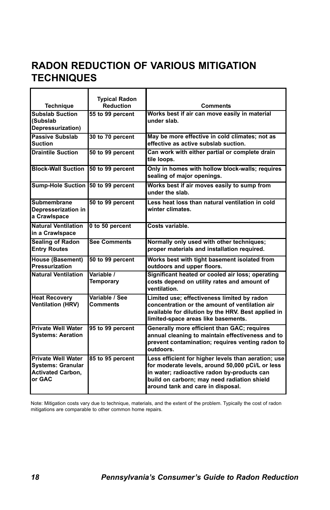### **RADON REDUCTION OF VARIOUS MITIGATION TECHNIQUES**

| <b>Technique</b>                                                                            | <b>Typical Radon</b><br><b>Reduction</b> | <b>Comments</b>                                                                                                                                                                                                                            |
|---------------------------------------------------------------------------------------------|------------------------------------------|--------------------------------------------------------------------------------------------------------------------------------------------------------------------------------------------------------------------------------------------|
| <b>Subslab Suction</b><br>(Subslab<br>Depressurization)                                     | 55 to 99 percent                         | Works best if air can move easily in material<br>under slab.                                                                                                                                                                               |
| <b>Passive Subslab</b><br>Suction                                                           | 30 to 70 percent                         | May be more effective in cold climates; not as<br>effective as active subslab suction.                                                                                                                                                     |
| <b>Draintile Suction</b>                                                                    | 50 to 99 percent                         | Can work with either partial or complete drain<br>tile loops.                                                                                                                                                                              |
| <b>Block-Wall Suction</b>                                                                   | 50 to 99 percent                         | Only in homes with hollow block-walls; requires<br>sealing of major openings.                                                                                                                                                              |
| Sump-Hole Suction 50 to 99 percent                                                          |                                          | Works best if air moves easily to sump from<br>under the slab.                                                                                                                                                                             |
| Submembrane<br>Depresserization in<br>a Crawlspace                                          | 50 to 99 percent                         | Less heat loss than natural ventilation in cold<br>winter climates.                                                                                                                                                                        |
| <b>Natural Ventilation</b><br>in a Crawlspace                                               | 0 to 50 percent                          | Costs variable.                                                                                                                                                                                                                            |
| <b>Sealing of Radon</b><br><b>Entry Routes</b>                                              | <b>See Comments</b>                      | Normally only used with other techniques;<br>proper materials and installation required.                                                                                                                                                   |
| <b>House (Basement)</b><br>Pressurization                                                   | 50 to 99 percent                         | Works best with tight basement isolated from<br>outdoors and upper floors.                                                                                                                                                                 |
| <b>Natural Ventilation</b>                                                                  | Variable /<br><b>Temporary</b>           | Significant heated or cooled air loss; operating<br>costs depend on utility rates and amount of<br>ventilation.                                                                                                                            |
| <b>Heat Recovery</b><br><b>Ventilation (HRV)</b>                                            | Variable / See<br>Comments               | Limited use; effectiveness limited by radon<br>concentration or the amount of ventilation air<br>available for dilution by the HRV. Best applied in<br>limited-space areas like basements.                                                 |
| <b>Private Well Water</b><br><b>Systems: Aeration</b>                                       | 95 to 99 percent                         | Generally more efficient than GAC; requires<br>annual cleaning to maintain effectiveness and to<br>prevent contamination; requires venting radon to<br>outdoors.                                                                           |
| <b>Private Well Water</b><br><b>Systems: Granular</b><br><b>Activated Carbon,</b><br>or GAC | 85 to 95 percent                         | Less efficient for higher levels than aeration; use<br>for moderate levels, around 50,000 pCi/L or less<br>in water; radioactive radon by-products can<br>build on carborn; may need radiation shield<br>around tank and care in disposal. |

Note: Mitigation costs vary due to technique, materials, and the extent of the problem. Typically the cost of radon mitigations are comparable to other common home repairs.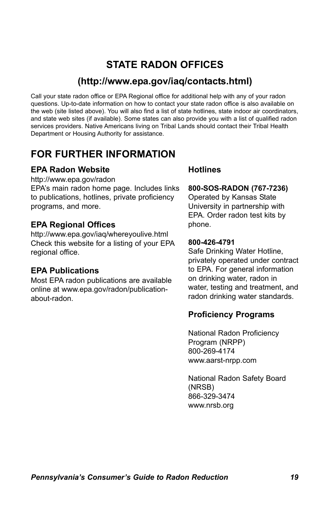### **STATE RADON OFFICES**

#### **(http://www.epa.gov/iaq/contacts.html)**

Call your state radon office or EPA Regional office for additional help with any of your radon questions. Up-to-date information on how to contact your state radon office is also available on the web (site listed above). You will also find a list of state hotlines, state indoor air coordinators, and state web sites (if available). Some states can also provide you with a list of qualified radon services providers. Native Americans living on Tribal Lands should contact their Tribal Health Department or Housing Authority for assistance.

### **FOR FURTHER INFORMATION**

#### **EPA Radon Website**

http://www.epa.gov/radon

EPA's main radon home page. Includes links to publications, hotlines, private proficiency programs, and more.

#### **EPA Regional Offices**

http://www.epa.gov/iaq/whereyoulive.html Check this website for a listing of your EPA regional office.

#### **EPA Publications**

Most EPA radon publications are available online at www.epa.gov/radon/publicationabout-radon.

#### **Hotlines**

#### **800-SOS-RADON (767-7236)**

Operated by Kansas State University in partnership with EPA. Order radon test kits by phone.

#### **800-426-4791**

Safe Drinking Water Hotline, privately operated under contract to EPA. For general information on drinking water, radon in water, testing and treatment, and radon drinking water standards.

#### **Proficiency Programs**

National Radon Proficiency Program (NRPP) 800-269-4174 www.aarst-nrpp.com

National Radon Safety Board (NRSB) 866-329-3474 www.nrsb.org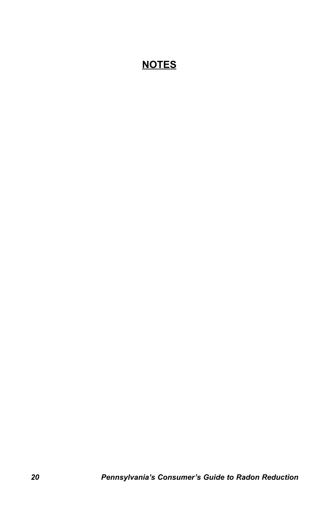### **NOTES**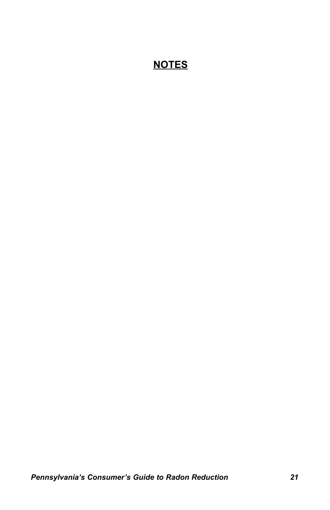### **NOTES**